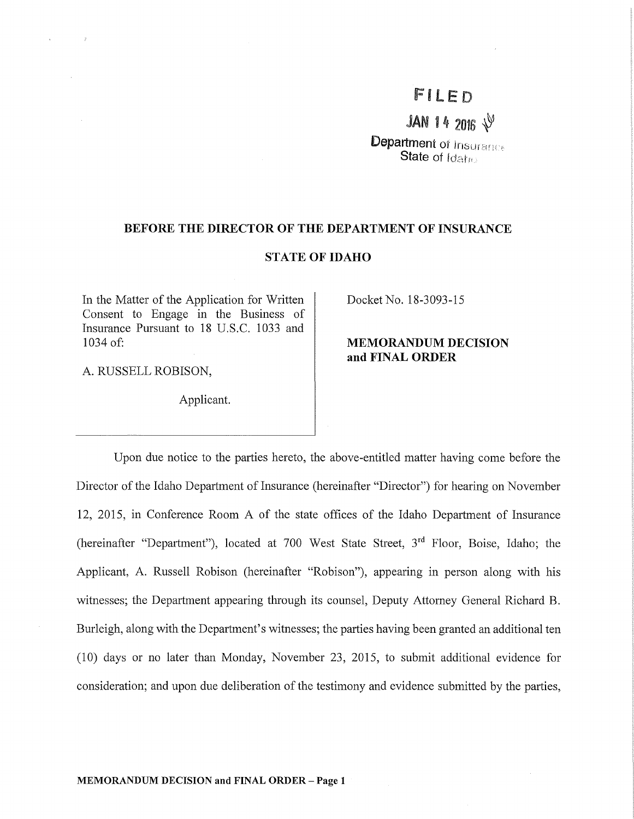# FILED

JAN 14 2016  $\sqrt{9}$ 

**Department of Insurance State of Idaho** 

#### **BEFORE THE DIRECTOR OF THE DEPARTMENT OF INSURANCE**

## **STATE OF IDAHO**

In the Matter of the Application for Written Consent to Engage in the Business of Insurance Pursuant to 18 U.S.C. 1033 and 1034 of:

A. RUSSELL ROBISON,

 $\rightarrow$ 

Applicant.

Docket No. 18-3093-15

# **MEMORANDUM DECISION and FINAL ORDER**

Upon due notice to the parties hereto, the above-entitled matter having come before the Director of the Idaho Department of Insurance (hereinafter "Director") for hearing on November 12, 2015, in Conference Room A of the state offices of the Idaho Department of Insurance (hereinafter "Department"), located at 700 West State Street,  $3<sup>rd</sup>$  Floor, Boise, Idaho; the Applicant, A. Russell Robison (hereinafter "Robison"), appearing in person along with his witnesses; the Department appearing through its counsel, Deputy Attorney General Richard B. Burleigh, along with the Department's witnesses; the parties having been granted an additional ten (10) days or no later than Monday, November 23, 2015, to submit additional evidence for consideration; and upon due deliberation of the testimony and evidence submitted by the parties,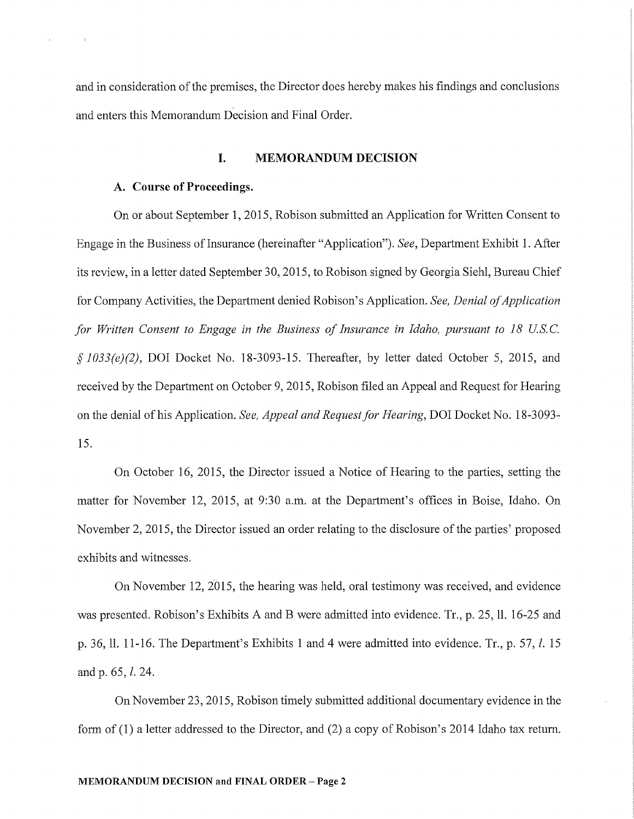and in consideration of the premises, the Director does hereby makes his findings and conclusions and enters this Memorandum Decision and Final Order.

#### I. MEMORANDUM DECISION

## A. Course of Proceedings.

On or about September 1, 2015, Robison submitted an Application for Written Consent to Engage in the Business oflnsurance (hereinafter "Application"). *See,* Department Exhibit 1. After its review, in a letter dated September 30, 2015, to Robison signed by Georgia Siehl, Bureau Chief for Company Activities, the Department denied Robison's Application. *See, Denial of Application for Written Consent to Engage in the Business of Insurance in Idaho, pursuant to 18 US.* C. § *1033(e)(2),* DOI Docket No. 18-3093-15. Thereafter, by letter dated October 5, 2015, and received by the Department on October 9, 2015, Robison filed an Appeal and Request for Hearing on the denial of his Application. *See, Appeal and Request for Hearing,* DOI Docket No. 18-3093- 15.

On October 16, 2015, the Director issued a Notice of Hearing to the parties, setting the matter for November 12, 2015, at 9:30 a.m. at the Department's offices in Boise, Idaho. On November 2, 2015, the Director issued an order relating to the disclosure of the parties' proposed exhibits and witnesses.

On November 12,  $2015$ , the hearing was held, oral testimony was received, and evidence was presented. Robison's Exhibits A and B were admitted into evidence. Tr., p. 25, 11. 16-25 and p. 36, ll. 11-16. The Department's Exhibits 1 and 4 were admitted into evidence. Tr., p. 57, *l.* 15 and p. 65, *l.* 24.

On November 23, 2015, Robison timely submitted additional documentary evidence in the form of  $(1)$  a letter addressed to the Director, and  $(2)$  a copy of Robison's 2014 Idaho tax return.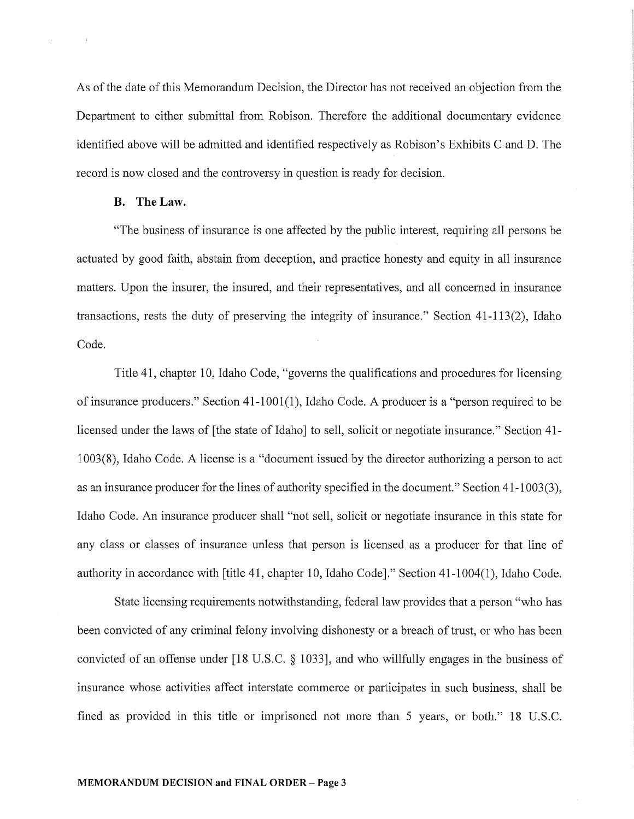As of the date of this Memorandum Decision, the Director has not received an objection from the Department to either submittal from Robison. Therefore the additional documentary evidence identified above will be admitted and identified respectively as Robison's Exhibits C and D. The record is now closed and the controversy in question is ready for decision.

## **B. TheLaw.**

"The business of insurance is one affected by the public interest, requiring all persons be actuated by good faith, abstain from deception, and practice honesty and equity in all insurance matters. Upon the insurer, the insured, and their representatives, and all concerned in insurance transactions, rests the duty of preserving the integrity of insurance." Section 41-113(2), Idaho Code.

Title 41, chapter 10, Idaho Code, "governs the qualifications and procedures for licensing of insurance producers." Section  $41-1001(1)$ , Idaho Code. A producer is a "person required to be licensed under the laws of [the state of Idaho] to sell, solicit or negotiate insurance." Section 41- 1003 (8), Idaho Code. A license is a "document issued by the director authorizing a person to act as an insurance producer for the lines of authority specified in the document." Section 41-1003(3), Idaho Code. An insurance producer shall "not sell, solicit or negotiate insurance in this state for any class or classes of insurance unless that person is licensed as a producer for that line of authority in accordance with [title 41, chapter 10, Idaho Code]." Section 41-1004(1), Idaho Code.

State licensing requirements notwithstanding, federal law provides that a person "who has been convicted of any criminal felony involving dishonesty or a breach of trust, or who has been convicted of an offense under [18 U.S.C. § 1033], and who willfully engages in the business of insurance whose activities affect interstate commerce or participates in such business, shall be fined as provided in this title or imprisoned not more than 5 years, or both." 18 U.S.C.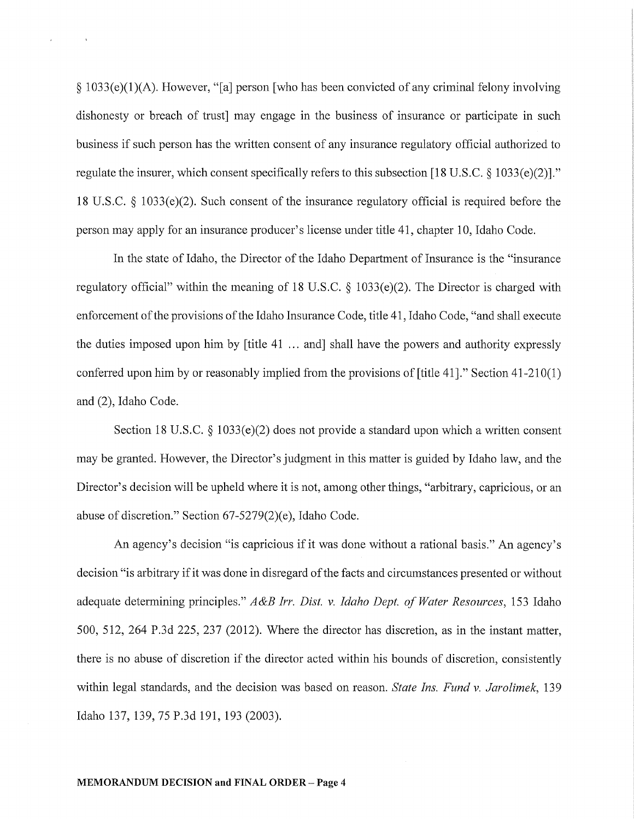$\S 1033(e)(1)(A)$ . However, "[a] person [who has been convicted of any criminal felony involving dishonesty or breach of trust may engage in the business of insurance or participate in such business if such person has the written consent of any insurance regulatory official authorized to regulate the insurer, which consent specifically refers to this subsection [18 U.S.C.  $\S$  1033(e)(2)]." 18 U.S.C. § 1033(e)(2). Such consent of the insurance regulatory official is required before the person may apply for an insurance producer's license under title 41, chapter 10, Idaho Code.

In the state of Idaho, the Director of the Idaho Department of Insurance is the "insurance regulatory official" within the meaning of 18 U.S.C. § 1033(e)(2). The Director is charged with enforcement of the provisions of the Idaho Insurance Code, title 41, Idaho Code, "and shall execute the duties imposed upon him by [title 41 ... and] shall have the powers and authority expressly conferred upon him by or reasonably implied from the provisions of [title 41]." Section 41-210(1) and (2), Idaho Code.

Section 18 U.S.C.  $\S$  1033(e)(2) does not provide a standard upon which a written consent may be granted. However, the Director's judgment in this matter is guided by Idaho law, and the Director's decision will be upheld where it is not, among other things, "arbitrary, capricious, or an abuse of discretion." Section 67-5279(2)(e), Idaho Code.

An agency's decision "is capricious if it was done without a rational basis." An agency's decision "is arbitrary if it was done in disregard of the facts and circumstances presented or without adequate determining principles." *A&B Irr. Dist. v. Idaho Dept. of Water Resources,* 153 Idaho 500, 512, 264 P.3d 225, 237 (2012). Where the director has discretion, as in the instant matter, there is no abuse of discretion if the director acted within his bounds of discretion, consistently within legal standards, and the decision was based on reason. *State Ins. Fund v. Jarolimek,* 139 Idaho 137, 139, 75 P.3d 191, 193 (2003).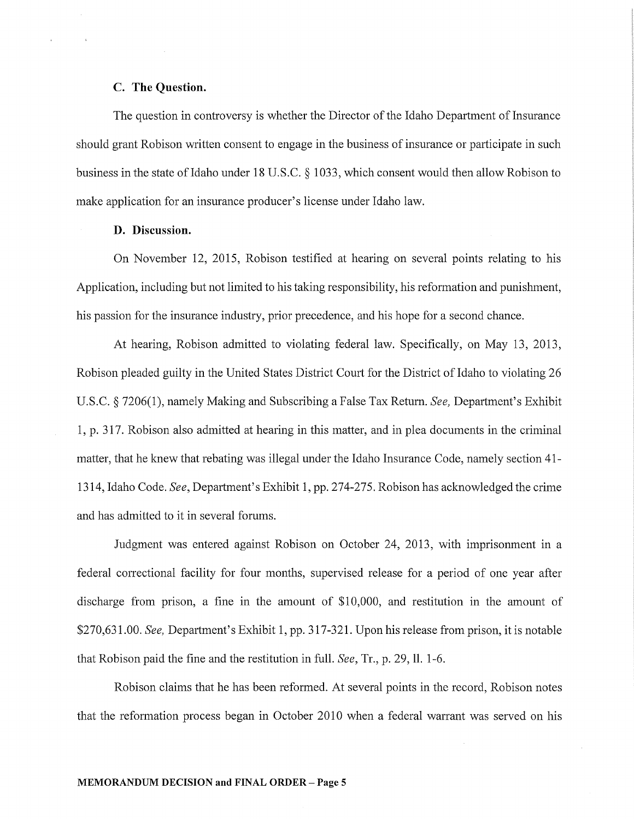# C. The Question.

The question in controversy is whether the Director of the Idaho Department of Insurance should grant Robison written consent to engage in the business of insurance or participate in such business in the state of Idaho under 18 U.S.C. § 1033, which consent would then allow Robison to make application for an insurance producer's license under Idaho law.

## D. Discussion.

On November 12, 2015, Robison testified at hearing on several points relating to his Application, including but not limited to his taking responsibility, his reformation and punishment, his passion for the insurance industry, prior precedence, and his hope for a second chance.

At hearing, Robison admitted to violating federal law. Specifically, on May 13, 2013, Robison pleaded guilty in the United States District Court for the District of Idaho to violating 26 U.S.C. § 7206(1), namely Making and Subscribing a False Tax Return. *See*, Department's Exhibit 1, p. 317. Robison also admitted at hearing in this matter, and in plea documents in the criminal matter, that he knew that rebating was illegal under the Idaho Insurance Code, namely section 41- 1314, Idaho Code. *See*, Department's Exhibit 1, pp. 274-275. Robison has acknowledged the crime and has admitted to it in several forums.

Judgment was entered against Robison on October 24, 2013, with imprisonment in a federal conectional facility for four months, supervised release for a period of one year after discharge from prison, a fine in the amount of \$10,000, and restitution in the amount of \$270,631.00. *See,* Department's Exhibit 1, pp. 317-321. Upon his release from prison, it is notable that Robison paid the fine and the restitution in full. *See,* Tr., p. 29, 11. 1-6.

Robison claims that he has been reformed. At several points in the record, Robison notes that the reformation process began in October 2010 when a federal wanant was served on his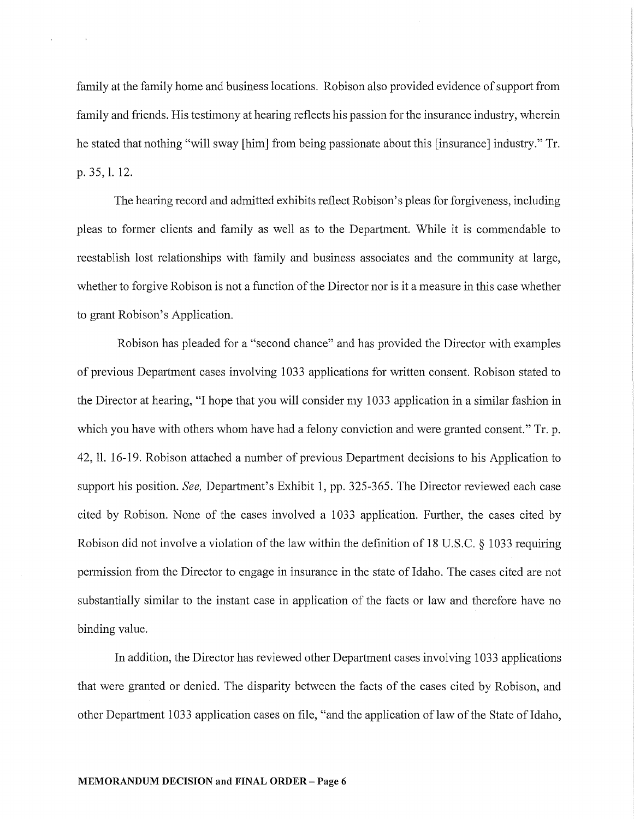family at the family home and business locations. Robison also provided evidence of support from family and friends. His testimony at hearing reflects his passion for the insurance industry, wherein he stated that nothing "will sway [him] from being passionate about this [insurance] industry." Tr. p. 35, 1. 12.

The hearing record and admitted exhibits reflect Robison's pleas for forgiveness, including pleas to former clients and family as well as to the Department. While it is commendable to reestablish lost relationships with family and business associates and the community at large, whether to forgive Robison is not a function of the Director nor is it a measure in this case whether to grant Robison's Application.

Robison has pleaded for a "second chance" and has provided the Director with examples of previous Department cases involving 1033 applications for written consent. Robison stated to the Director at hearing, "I hope that you will consider my 1033 application in a similar fashion in which you have with others whom have had a felony conviction and were granted consent." Tr. p. 42, 11. 16-19. Robison attached a number of previous Department decisions to his Application to support his position. *See*, Department's Exhibit 1, pp. 325-365. The Director reviewed each case cited by Robison. None of the cases involved a 1033 application. Further, the cases cited by Robison did not involve a violation of the law within the definition of 18 U.S.C. § 1033 requiring permission from the Director to engage in insurance in the state of Idaho. The cases cited are not substantially similar to the instant case in application of the facts or law and therefore have no binding value.

In addition, the Director has reviewed other Department cases involving 1033 applications that were granted or denied. The disparity between the facts of the cases cited by Robison, and other Department 1033 application cases on file, "and the application of law of the State of Idaho,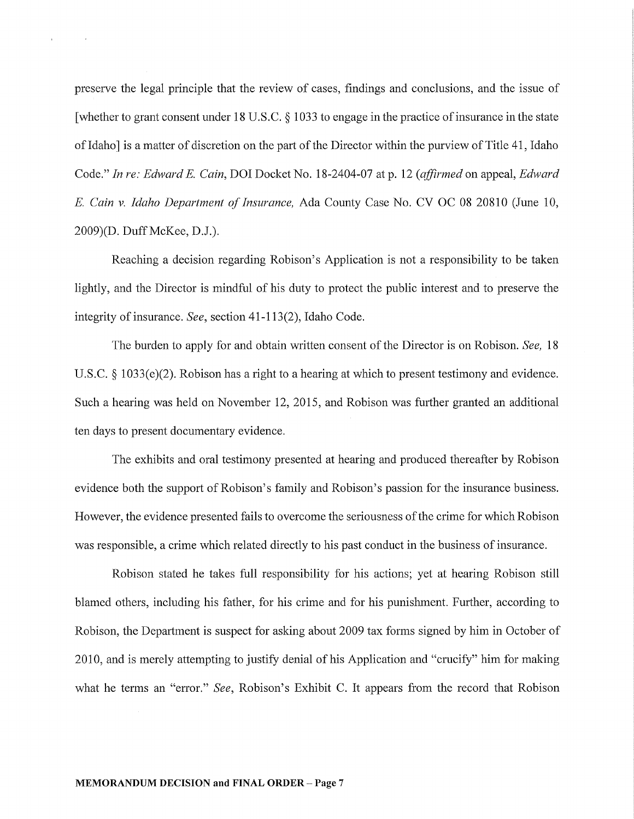preserve the legal principle that the review of cases, findings and conclusions, and the issue of [whether to grant consent under 18 U.S.C. § 1033 to engage in the practice of insurance in the state of Idaho] is a matter of discretion on the part of the Director within the purview of Title 41, Idaho Code." *In re: Edward* E. *Cain,* DOI Docket No. 18-2404-07 at p. 12 *(affirmed* on appeal, *Edward*  E. *Cain v. Idaho Department of Insurance,* Ada County Case No. CV OC 08 20810 (June 10, 2009)(D. Duff McKee, D.J.).

¥.

Reaching a decision regarding Robison's Application is not a responsibility to be taken lightly, and the Director is mindful of his duty to protect the public interest and to preserve the integrity of insurance. *See,* section 41-113(2), Idaho Code.

The burden to apply for and obtain written consent of the Director is on Robison. *See,* 18 U.S.C. § 1033(e)(2). Robison has a right to a hearing at which to present testimony and evidence. Such a hearing was held on November 12, 2015, and Robison was further granted an additional ten days to present documentary evidence.

The exhibits and oral testimony presented at hearing and produced thereafter by Robison evidence both the support of Robison's family and Robison's passion for the insurance business. However, the evidence presented fails to overcome the seriousness of the crime for which Robison was responsible, a crime which related directly to his past conduct in the business of insurance.

Robison stated he takes full responsibility for his actions; yet at hearing Robison still blamed others, including his father, for his crime and for his punishment. Further, according to Robison, the Department is suspect for asking about 2009 tax forms signed by him in October of 2010, and is merely attempting to justify denial of his Application and "crucify" him for making what he terms an "error." *See*, Robison's Exhibit C. It appears from the record that Robison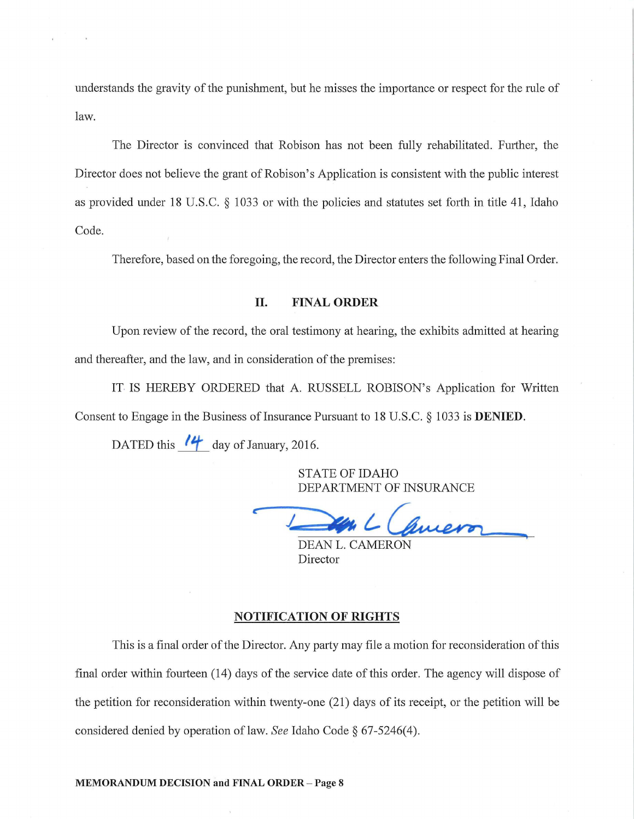understands the gravity of the punishment, but he misses the importance or respect for the rule of law.

The Director is convinced that Robison has not been fully rehabilitated. Further, the Director does not believe the grant of Robison's Application is consistent with the public interest as provided under 18 U.S.C.  $\S$  1033 or with the policies and statutes set forth in title 41, Idaho Code.

Therefore, based on the foregoing, the record, the Director enters the following Final Order.

# II. FINAL ORDER

Upon review of the record, the oral testimony at hearing, the exhibits admitted at hearing and thereafter, and the law, and in consideration of the premises:

IT IS HEREBY ORDERED that A. RUSSELL ROBISON's Application for Written Consent to Engage in the Business of Insurance Pursuant to 18 U.S.C. § 1033 is **DENIED**.

DATED this  $'$  day of January, 2016.

STATE OF IDAHO DEPARTMENT OF INSURANCE

 $\ell$ *wer* 

DEAN L. CAMERON Director

#### NOTIFICATION OF RIGHTS

This is a final order of the Director. Any party may file a motion for reconsideration of this final order within fourteen (14) days of the service date of this order. The agency will dispose of the petition for reconsideration within twenty-one (21) days of its receipt, or the petition will be considered denied by operation oflaw. *See* Idaho Code§ 67-5246(4).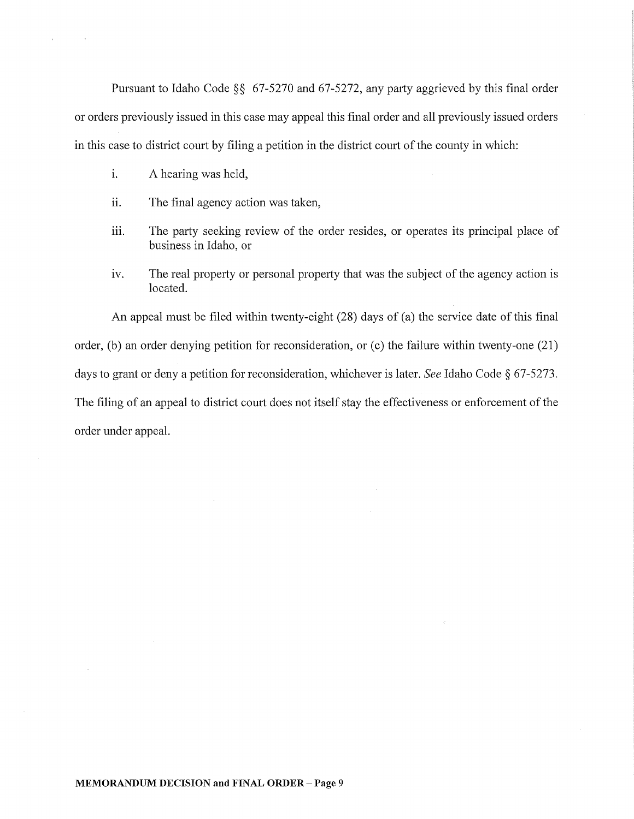Pursuant to Idaho Code  $\S$ § 67-5270 and 67-5272, any party aggrieved by this final order or orders previously issued in this case may appeal this final order and all previously issued orders in this case to district court by filing a petition in the district court of the county in which:

i. A hearing was held,

 $\bar{\mathbf{r}}$ 

- ii. The final agency action was taken,
- iii. The party seeking review of the order resides, or operates its principal place of business in Idaho, or
- iv. The real property or personal property that was the subject of the agency action is located.

An appeal must be filed within twenty-eight (28) days of (a) the service date of this final order, (b) an order denying petition for reconsideration, or (c) the failure within twenty-one  $(21)$ days to grant or deny a petition for reconsideration, whichever is later. *See* Idaho Code§ 67-5273. The filing of an appeal to district court does not itself stay the effectiveness or enforcement of the order under appeal.